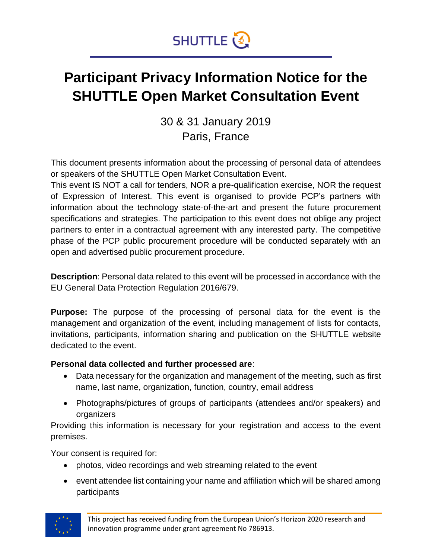

### **Participant Privacy Information Notice for the SHUTTLE Open Market Consultation Event**

30 & 31 January 2019 Paris, France

This document presents information about the processing of personal data of attendees or speakers of the SHUTTLE Open Market Consultation Event.

This event IS NOT a call for tenders, NOR a pre-qualification exercise, NOR the request of Expression of Interest. This event is organised to provide PCP's partners with information about the technology state-of-the-art and present the future procurement specifications and strategies. The participation to this event does not oblige any project partners to enter in a contractual agreement with any interested party. The competitive phase of the PCP public procurement procedure will be conducted separately with an open and advertised public procurement procedure.

**Description**: Personal data related to this event will be processed in accordance with the EU General Data Protection Regulation 2016/679.

**Purpose:** The purpose of the processing of personal data for the event is the management and organization of the event, including management of lists for contacts, invitations, participants, information sharing and publication on the SHUTTLE website dedicated to the event.

#### **Personal data collected and further processed are**:

- Data necessary for the organization and management of the meeting, such as first name, last name, organization, function, country, email address
- Photographs/pictures of groups of participants (attendees and/or speakers) and organizers

Providing this information is necessary for your registration and access to the event premises.

Your consent is required for:

- photos, video recordings and web streaming related to the event
- event attendee list containing your name and affiliation which will be shared among participants

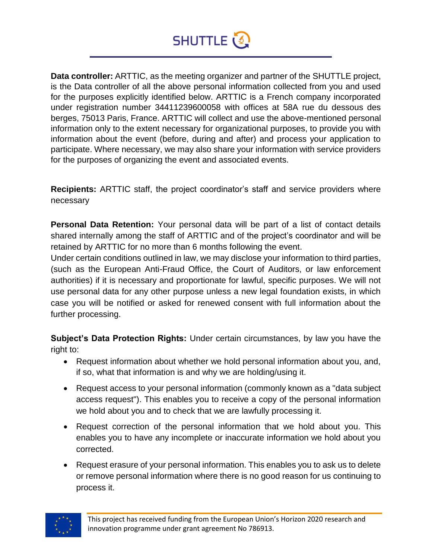## **SHUTTLE**

**Data controller:** ARTTIC, as the meeting organizer and partner of the SHUTTLE project, is the Data controller of all the above personal information collected from you and used for the purposes explicitly identified below. ARTTIC is a French company incorporated under registration number 34411239600058 with offices at 58A rue du dessous des berges, 75013 Paris, France. ARTTIC will collect and use the above-mentioned personal information only to the extent necessary for organizational purposes, to provide you with information about the event (before, during and after) and process your application to participate. Where necessary, we may also share your information with service providers for the purposes of organizing the event and associated events.

**Recipients:** ARTTIC staff, the project coordinator's staff and service providers where necessary

**Personal Data Retention:** Your personal data will be part of a list of contact details shared internally among the staff of ARTTIC and of the project's coordinator and will be retained by ARTTIC for no more than 6 months following the event.

Under certain conditions outlined in law, we may disclose your information to third parties, (such as the European Anti-Fraud Office, the Court of Auditors, or law enforcement authorities) if it is necessary and proportionate for lawful, specific purposes. We will not use personal data for any other purpose unless a new legal foundation exists, in which case you will be notified or asked for renewed consent with full information about the further processing.

**Subject's Data Protection Rights:** Under certain circumstances, by law you have the right to:

- Request information about whether we hold personal information about you, and, if so, what that information is and why we are holding/using it.
- Request access to your personal information (commonly known as a "data subject access request"). This enables you to receive a copy of the personal information we hold about you and to check that we are lawfully processing it.
- Request correction of the personal information that we hold about you. This enables you to have any incomplete or inaccurate information we hold about you corrected.
- Request erasure of your personal information. This enables you to ask us to delete or remove personal information where there is no good reason for us continuing to process it.

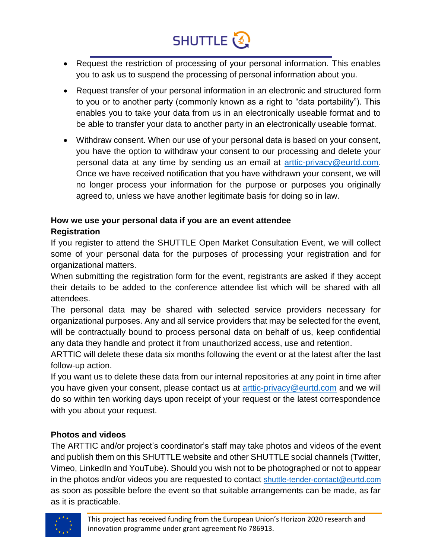# SHUTTLE<sup>2</sup>

- Request the restriction of processing of your personal information. This enables you to ask us to suspend the processing of personal information about you.
- Request transfer of your personal information in an electronic and structured form to you or to another party (commonly known as a right to "data portability"). This enables you to take your data from us in an electronically useable format and to be able to transfer your data to another party in an electronically useable format.
- Withdraw consent. When our use of your personal data is based on your consent, you have the option to withdraw your consent to our processing and delete your personal data at any time by sending us an email at [arttic-privacy@eurtd.com.](mailto:arttic-privacy@eurtd.com) Once we have received notification that you have withdrawn your consent, we will no longer process your information for the purpose or purposes you originally agreed to, unless we have another legitimate basis for doing so in law.

#### **How we use your personal data if you are an event attendee**

#### **Registration**

If you register to attend the SHUTTLE Open Market Consultation Event, we will collect some of your personal data for the purposes of processing your registration and for organizational matters.

When submitting the registration form for the event, registrants are asked if they accept their details to be added to the conference attendee list which will be shared with all attendees.

The personal data may be shared with selected service providers necessary for organizational purposes. Any and all service providers that may be selected for the event, will be contractually bound to process personal data on behalf of us, keep confidential any data they handle and protect it from unauthorized access, use and retention.

ARTTIC will delete these data six months following the event or at the latest after the last follow-up action.

If you want us to delete these data from our internal repositories at any point in time after you have given your consent, please contact us at [arttic-privacy@eurtd.com](mailto:arttic-privacy@eurtd.com) and we will do so within ten working days upon receipt of your request or the latest correspondence with you about your request.

#### **Photos and videos**

The ARTTIC and/or project's coordinator's staff may take photos and videos of the event and publish them on this SHUTTLE website and other SHUTTLE social channels (Twitter, Vimeo, LinkedIn and YouTube). Should you wish not to be photographed or not to appear in the photos and/or videos you are requested to contact [shuttle-tender-contact@eurtd.com](mailto:shuttle-tender-contact@eurtd.com) as soon as possible before the event so that suitable arrangements can be made, as far as it is practicable.